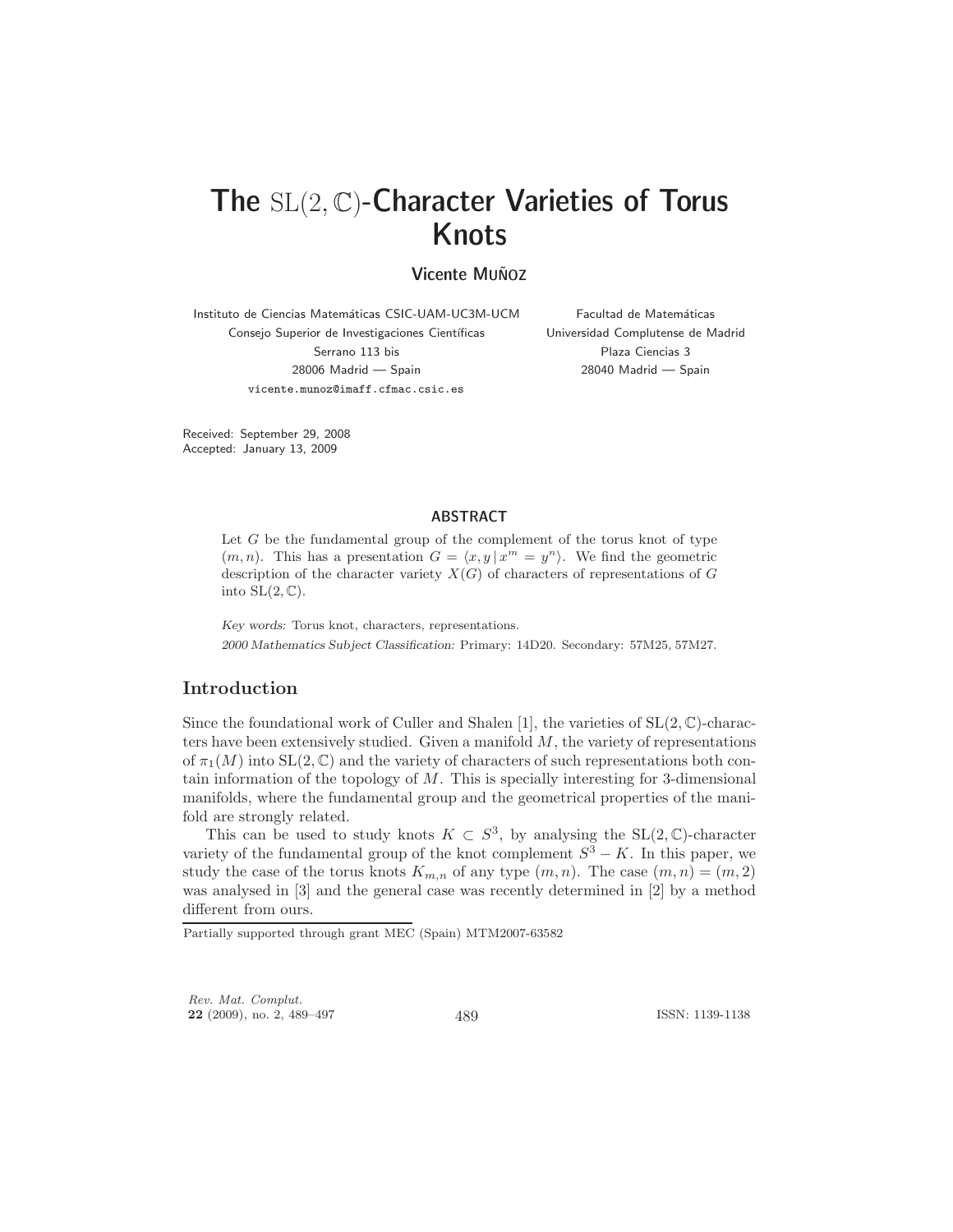# The SL(2, C)-Character Varieties of Torus Knots

# **Vicente MUÑOZ**

Instituto de Ciencias Matemáticas CSIC-UAM-UC3M-UCM Consejo Superior de Investigaciones Científicas Serrano 113 bis 28006 Madrid — Spain vicente.munoz@imaff.cfmac.csic.es

Facultad de Matemáticas Universidad Complutense de Madrid Plaza Ciencias 3 28040 Madrid — Spain

Received: September 29, 2008 Accepted: January 13, 2009

#### ABSTRACT

Let  $G$  be the fundamental group of the complement of the torus knot of type  $(m, n)$ . This has a presentation  $G = \langle x, y | x^m = y^n \rangle$ . We find the geometric description of the character variety  $X(G)$  of characters of representations of G into  $SL(2,\mathbb{C})$ .

Key words: Torus knot, characters, representations. 2000 Mathematics Subject Classification: Primary: 14D20. Secondary: 57M25, 57M27.

### Introduction

Since the foundational work of Culler and Shalen [1], the varieties of  $SL(2,\mathbb{C})$ -characters have been extensively studied. Given a manifold  $M$ , the variety of representations of  $\pi_1(M)$  into  $SL(2,\mathbb{C})$  and the variety of characters of such representations both contain information of the topology of  $M$ . This is specially interesting for 3-dimensional manifolds, where the fundamental group and the geometrical properties of the manifold are strongly related.

This can be used to study knots  $K \subset S^3$ , by analysing the SL(2, C)-character variety of the fundamental group of the knot complement  $S^3 - K$ . In this paper, we study the case of the torus knots  $K_{m,n}$  of any type  $(m, n)$ . The case  $(m, n) = (m, 2)$ was analysed in [3] and the general case was recently determined in [2] by a method different from ours.

Rev. Mat. Complut. <sup>22</sup> (2009), no. 2, 489–497 489 ISSN: 1139-1138

Partially supported through grant MEC (Spain) MTM2007-63582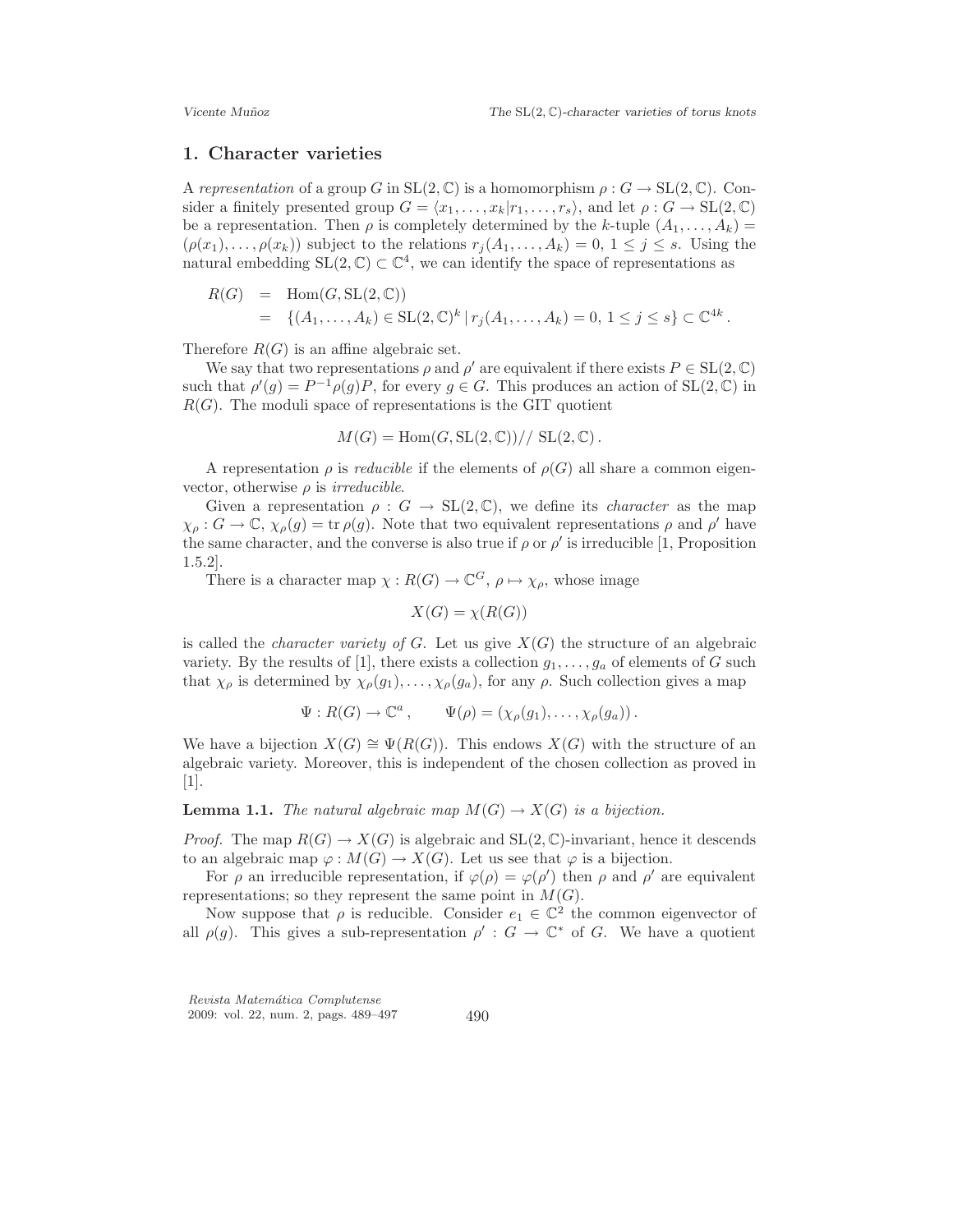#### 1. Character varieties

A representation of a group G in  $SL(2, \mathbb{C})$  is a homomorphism  $\rho : G \to SL(2, \mathbb{C})$ . Consider a finitely presented group  $G = \langle x_1, \ldots, x_k | r_1, \ldots, r_s \rangle$ , and let  $\rho : G \to SL(2, \mathbb{C})$ be a representation. Then  $\rho$  is completely determined by the k-tuple  $(A_1, \ldots, A_k)$  =  $(\rho(x_1), \ldots, \rho(x_k))$  subject to the relations  $r_i(A_1, \ldots, A_k) = 0, 1 \leq j \leq s$ . Using the natural embedding  $SL(2, \mathbb{C}) \subset \mathbb{C}^4$ , we can identify the space of representations as

$$
R(G) = \text{Hom}(G, \text{SL}(2, \mathbb{C}))
$$
  
= { $(A_1, ..., A_k) \in \text{SL}(2, \mathbb{C})^k | r_j(A_1, ..., A_k) = 0, 1 \le j \le s$ }  $\subset \mathbb{C}^{4k}$ .

Therefore  $R(G)$  is an affine algebraic set.

We say that two representations  $\rho$  and  $\rho'$  are equivalent if there exists  $P \in SL(2, \mathbb{C})$ such that  $\rho'(g) = P^{-1}\rho(g)P$ , for every  $g \in G$ . This produces an action of  $SL(2,\mathbb{C})$  in  $R(G)$ . The moduli space of representations is the GIT quotient

$$
M(G) = \text{Hom}(G, \text{SL}(2, \mathbb{C})) // \text{SL}(2, \mathbb{C}).
$$

A representation  $\rho$  is *reducible* if the elements of  $\rho(G)$  all share a common eigenvector, otherwise  $\rho$  is *irreducible*.

Given a representation  $\rho : G \to SL(2, \mathbb{C})$ , we define its *character* as the map  $\chi_{\rho}: G \to \mathbb{C}, \chi_{\rho}(g) = \text{tr}\,\rho(g)$ . Note that two equivalent representations  $\rho$  and  $\rho'$  have the same character, and the converse is also true if  $\rho$  or  $\rho'$  is irreducible [1, Proposition 1.5.2].

There is a character map  $\chi: R(G) \to \mathbb{C}^G$ ,  $\rho \mapsto \chi_{\rho}$ , whose image

$$
X(G) = \chi(R(G))
$$

is called the *character variety of G*. Let us give  $X(G)$  the structure of an algebraic variety. By the results of [1], there exists a collection  $g_1, \ldots, g_a$  of elements of G such that  $\chi_{\rho}$  is determined by  $\chi_{\rho}(g_1), \ldots, \chi_{\rho}(g_a)$ , for any  $\rho$ . Such collection gives a map

$$
\Psi: R(G) \to \mathbb{C}^a, \qquad \Psi(\rho) = (\chi_{\rho}(g_1), \ldots, \chi_{\rho}(g_a)).
$$

We have a bijection  $X(G) \cong \Psi(R(G))$ . This endows  $X(G)$  with the structure of an algebraic variety. Moreover, this is independent of the chosen collection as proved in [1].

**Lemma 1.1.** The natural algebraic map  $M(G) \to X(G)$  is a bijection.

*Proof.* The map  $R(G) \to X(G)$  is algebraic and  $SL(2, \mathbb{C})$ -invariant, hence it descends to an algebraic map  $\varphi : M(G) \to X(G)$ . Let us see that  $\varphi$  is a bijection.

For  $\rho$  an irreducible representation, if  $\varphi(\rho) = \varphi(\rho')$  then  $\rho$  and  $\rho'$  are equivalent representations; so they represent the same point in  $M(G)$ .

Now suppose that  $\rho$  is reducible. Consider  $e_1 \in \mathbb{C}^2$  the common eigenvector of all  $\rho(g)$ . This gives a sub-representation  $\rho' : G \to \mathbb{C}^*$  of G. We have a quotient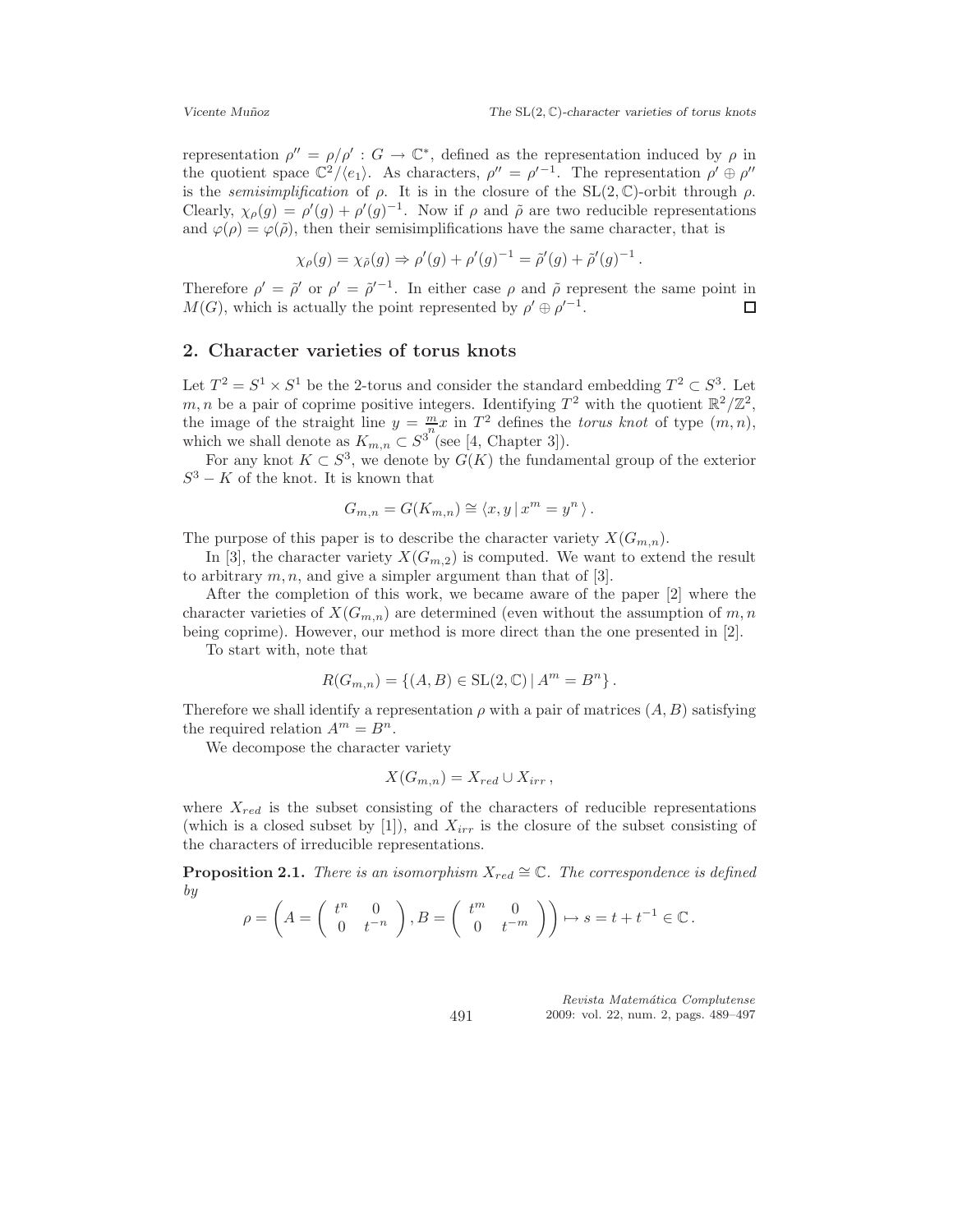representation  $\rho'' = \rho/\rho' : G \to \mathbb{C}^*$ , defined as the representation induced by  $\rho$  in the quotient space  $\mathbb{C}^2/\langle e_1 \rangle$ . As characters,  $\rho'' = \rho'^{-1}$ . The representation  $\rho' \oplus \rho''$ is the *semisimplification* of  $\rho$ . It is in the closure of the SL(2, C)-orbit through  $\rho$ . Clearly,  $\chi_{\rho}(g) = \rho'(g) + \rho'(g)^{-1}$ . Now if  $\rho$  and  $\tilde{\rho}$  are two reducible representations and  $\varphi(\rho) = \varphi(\tilde{\rho})$ , then their semisimplifications have the same character, that is

$$
\chi_{\rho}(g) = \chi_{\tilde{\rho}}(g) \Rightarrow \rho'(g) + \rho'(g)^{-1} = \tilde{\rho}'(g) + \tilde{\rho}'(g)^{-1}.
$$

Therefore  $\rho' = \tilde{\rho}'$  or  $\rho' = \tilde{\rho}'^{-1}$ . In either case  $\rho$  and  $\tilde{\rho}$  represent the same point in  $M(G)$ , which is actually the point represented by  $\rho' \oplus \rho'^{-1}$ . П

#### 2. Character varieties of torus knots

Let  $T^2 = S^1 \times S^1$  be the 2-torus and consider the standard embedding  $T^2 \subset S^3$ . Let m, n be a pair of coprime positive integers. Identifying  $T^2$  with the quotient  $\mathbb{R}^2/\mathbb{Z}^2$ , the image of the straight line  $y = \frac{m}{n}x$  in  $T^2$  defines the torus knot of type  $(m, n)$ , which we shall denote as  $K_{m,n} \subset S^{3}$  (see [4, Chapter 3]).

For any knot  $K \subset S^3$ , we denote by  $G(K)$  the fundamental group of the exterior  $S^3 - K$  of the knot. It is known that

$$
G_{m,n} = G(K_{m,n}) \cong \langle x, y | x^m = y^n \rangle.
$$

The purpose of this paper is to describe the character variety  $X(G_{m,n})$ .

In [3], the character variety  $X(G_{m,2})$  is computed. We want to extend the result to arbitrary  $m, n$ , and give a simpler argument than that of [3].

After the completion of this work, we became aware of the paper [2] where the character varieties of  $X(G_{m,n})$  are determined (even without the assumption of m, n being coprime). However, our method is more direct than the one presented in [2].

To start with, note that

$$
R(G_{m,n}) = \{(A, B) \in SL(2, \mathbb{C}) \, | \, A^m = B^n \}.
$$

Therefore we shall identify a representation  $\rho$  with a pair of matrices  $(A, B)$  satisfying the required relation  $A^m = B^n$ .

We decompose the character variety

$$
X(G_{m,n}) = X_{red} \cup X_{irr},
$$

where  $X_{red}$  is the subset consisting of the characters of reducible representations (which is a closed subset by  $[1]$ ), and  $X_{irr}$  is the closure of the subset consisting of the characters of irreducible representations.

**Proposition 2.1.** There is an isomorphism  $X_{red} \cong \mathbb{C}$ . The correspondence is defined by

$$
\rho = \left(A = \left(\begin{array}{cc} t^n & 0 \\ 0 & t^{-n} \end{array}\right), B = \left(\begin{array}{cc} t^m & 0 \\ 0 & t^{-m} \end{array}\right)\right) \mapsto s = t + t^{-1} \in \mathbb{C}.
$$

Revista Matemática Complutense 2009: vol. 22, num. 2, pags. 489–497

491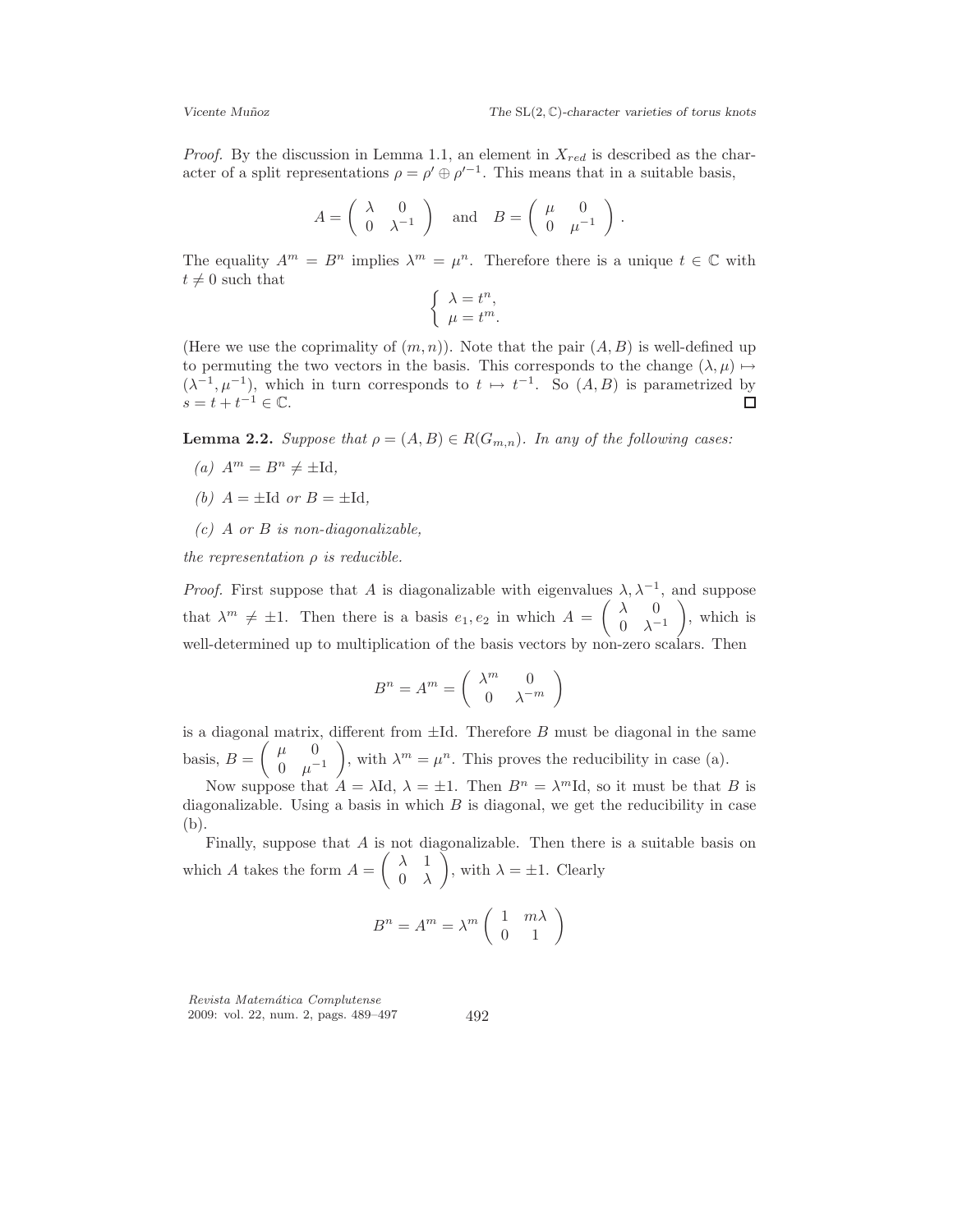*Proof.* By the discussion in Lemma 1.1, an element in  $X_{red}$  is described as the character of a split representations  $\rho = \rho' \oplus \rho'^{-1}$ . This means that in a suitable basis,

$$
A = \begin{pmatrix} \lambda & 0 \\ 0 & \lambda^{-1} \end{pmatrix} \text{ and } B = \begin{pmatrix} \mu & 0 \\ 0 & \mu^{-1} \end{pmatrix}.
$$

The equality  $A^m = B^n$  implies  $\lambda^m = \mu^n$ . Therefore there is a unique  $t \in \mathbb{C}$  with  $t \neq 0$  such that

$$
\begin{cases} \lambda = t^n, \\ \mu = t^m. \end{cases}
$$

(Here we use the coprimality of  $(m, n)$ ). Note that the pair  $(A, B)$  is well-defined up to permuting the two vectors in the basis. This corresponds to the change  $(\lambda, \mu) \mapsto$  $(\lambda^{-1}, \mu^{-1})$ , which in turn corresponds to  $t \mapsto t^{-1}$ . So  $(A, B)$  is parametrized by  $s = t + t^{-1} \in \mathbb{C}.$  $\Box$ 

**Lemma 2.2.** Suppose that  $\rho = (A, B) \in R(G_{m,n})$ . In any of the following cases:

- (a)  $A^m = B^n \neq \pm \text{Id},$
- (b)  $A = \pm \text{Id}$  or  $B = \pm \text{Id}$ .
- $(c)$  A or B is non-diagonalizable,

the representation  $\rho$  is reducible.

*Proof.* First suppose that A is diagonalizable with eigenvalues  $\lambda, \lambda^{-1}$ , and suppose that  $\lambda^m \neq \pm 1$ . Then there is a basis  $e_1, e_2$  in which  $A = \begin{pmatrix} \lambda & 0 \\ 0 & \lambda^{-1} \end{pmatrix}$  $0 \lambda^{-1}$  , which is well-determined up to multiplication of the basis vectors by non-zero scalars. Then

$$
B^n = A^m = \begin{pmatrix} \lambda^m & 0 \\ 0 & \lambda^{-m} \end{pmatrix}
$$

is a diagonal matrix, different from  $\pm$ Id. Therefore  $B$  must be diagonal in the same basis,  $B = \begin{pmatrix} \mu & 0 \\ 0 & \mu \end{pmatrix}$ 0  $\mu^{-1}$ ), with  $\lambda^m = \mu^n$ . This proves the reducibility in case (a).

Now suppose that  $A = \lambda \mathrm{Id}$ ,  $\lambda = \pm 1$ . Then  $B^n = \lambda^m \mathrm{Id}$ , so it must be that B is diagonalizable. Using a basis in which  $B$  is diagonal, we get the reducibility in case (b).

Finally, suppose that A is not diagonalizable. Then there is a suitable basis on which A takes the form  $A = \begin{pmatrix} \lambda & 1 \\ 0 & \lambda \end{pmatrix}$  $0 \lambda$ ), with  $\lambda = \pm 1$ . Clearly

$$
B^n = A^m = \lambda^m \begin{pmatrix} 1 & m\lambda \\ 0 & 1 \end{pmatrix}
$$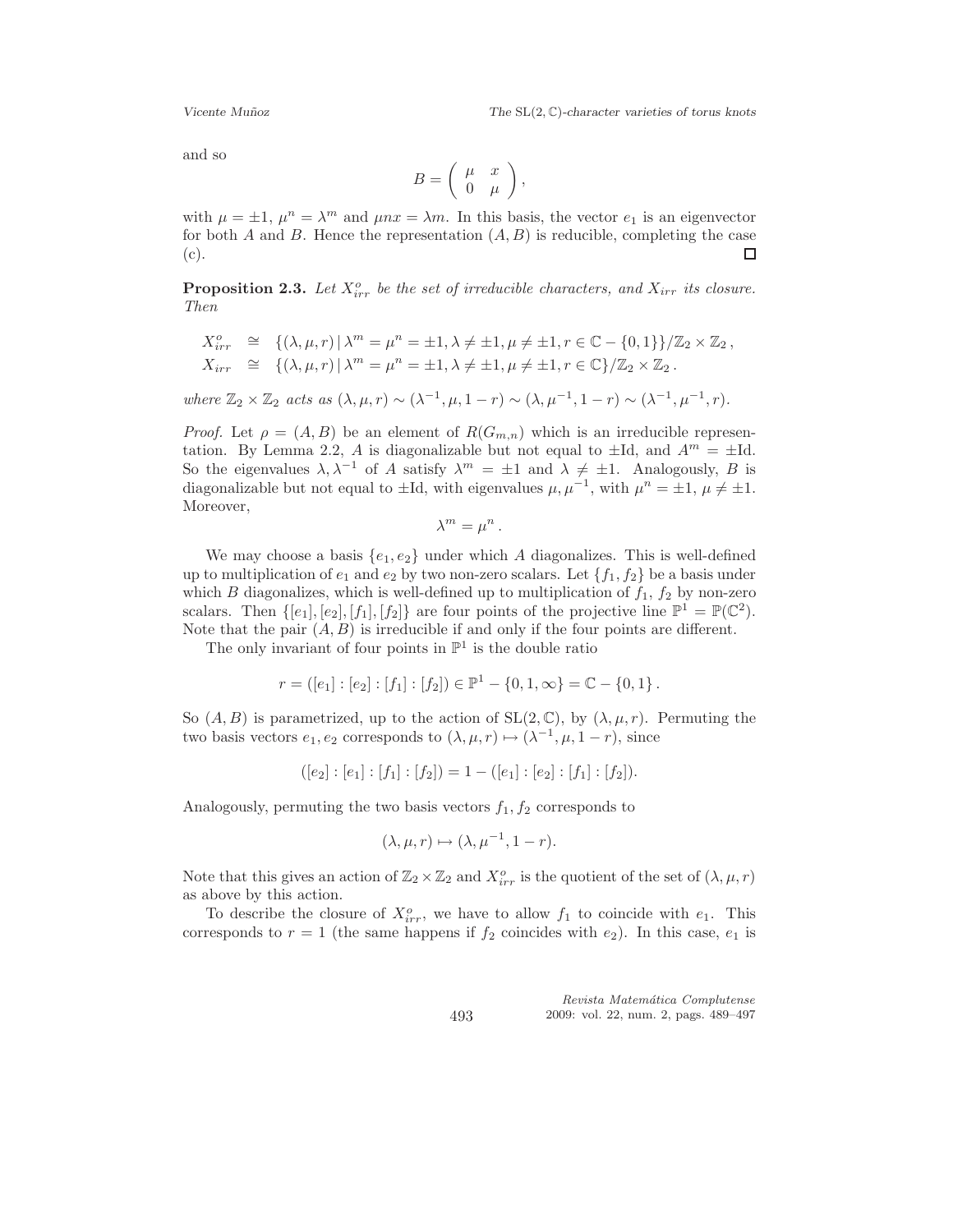and so

$$
B=\left(\begin{array}{cc} \mu & x \\ 0 & \mu \end{array}\right),\,
$$

with  $\mu = \pm 1$ ,  $\mu^n = \lambda^m$  and  $\mu nx = \lambda m$ . In this basis, the vector  $e_1$  is an eigenvector for both A and B. Hence the representation  $(A, B)$  is reducible, completing the case (c). □

**Proposition 2.3.** Let  $X_{irr}^o$  be the set of irreducible characters, and  $X_{irr}$  its closure. Then

$$
X_{irr}^o \cong \{(\lambda, \mu, r) \mid \lambda^m = \mu^n = \pm 1, \lambda \neq \pm 1, \mu \neq \pm 1, r \in \mathbb{C} - \{0, 1\}\} / \mathbb{Z}_2 \times \mathbb{Z}_2,
$$
  
\n
$$
X_{irr} \cong \{(\lambda, \mu, r) \mid \lambda^m = \mu^n = \pm 1, \lambda \neq \pm 1, \mu \neq \pm 1, r \in \mathbb{C}\} / \mathbb{Z}_2 \times \mathbb{Z}_2.
$$

where  $\mathbb{Z}_2 \times \mathbb{Z}_2$  acts as  $(\lambda, \mu, r) \sim (\lambda^{-1}, \mu, 1-r) \sim (\lambda, \mu^{-1}, 1-r) \sim (\lambda^{-1}, \mu^{-1}, r)$ .

*Proof.* Let  $\rho = (A, B)$  be an element of  $R(G_{m,n})$  which is an irreducible representation. By Lemma 2.2, A is diagonalizable but not equal to  $\pm$ Id, and  $A^m = \pm$ Id. So the eigenvalues  $\lambda, \lambda^{-1}$  of A satisfy  $\lambda^m = \pm 1$  and  $\lambda \neq \pm 1$ . Analogously, B is diagonalizable but not equal to  $\pm$ Id, with eigenvalues  $\mu, \mu^{-1}$ , with  $\mu^n = \pm 1$ ,  $\mu \neq \pm 1$ . Moreover,

 $\lambda^m = \mu^n$ .

We may choose a basis  $\{e_1, e_2\}$  under which A diagonalizes. This is well-defined up to multiplication of  $e_1$  and  $e_2$  by two non-zero scalars. Let  $\{f_1, f_2\}$  be a basis under which B diagonalizes, which is well-defined up to multiplication of  $f_1$ ,  $f_2$  by non-zero scalars. Then  $\{[e_1], [e_2], [f_1], [f_2]\}$  are four points of the projective line  $\mathbb{P}^1 = \mathbb{P}(\mathbb{C}^2)$ . Note that the pair  $(A, B)$  is irreducible if and only if the four points are different.

The only invariant of four points in  $\mathbb{P}^1$  is the double ratio

$$
r = ([e_1] : [e_2] : [f_1] : [f_2]) \in \mathbb{P}^1 - \{0, 1, \infty\} = \mathbb{C} - \{0, 1\}.
$$

So  $(A, B)$  is parametrized, up to the action of  $SL(2, \mathbb{C})$ , by  $(\lambda, \mu, r)$ . Permuting the two basis vectors  $e_1, e_2$  corresponds to  $(\lambda, \mu, r) \mapsto (\lambda^{-1}, \mu, 1-r)$ , since

$$
([e_2] : [e_1] : [f_1] : [f_2]) = 1 - ([e_1] : [e_2] : [f_1] : [f_2]).
$$

Analogously, permuting the two basis vectors  $f_1, f_2$  corresponds to

$$
(\lambda, \mu, r) \mapsto (\lambda, \mu^{-1}, 1 - r).
$$

Note that this gives an action of  $\mathbb{Z}_2 \times \mathbb{Z}_2$  and  $X^o_{irr}$  is the quotient of the set of  $(\lambda, \mu, r)$ as above by this action.

To describe the closure of  $X_{irr}^o$ , we have to allow  $f_1$  to coincide with  $e_1$ . This corresponds to  $r = 1$  (the same happens if  $f_2$  coincides with  $e_2$ ). In this case,  $e_1$  is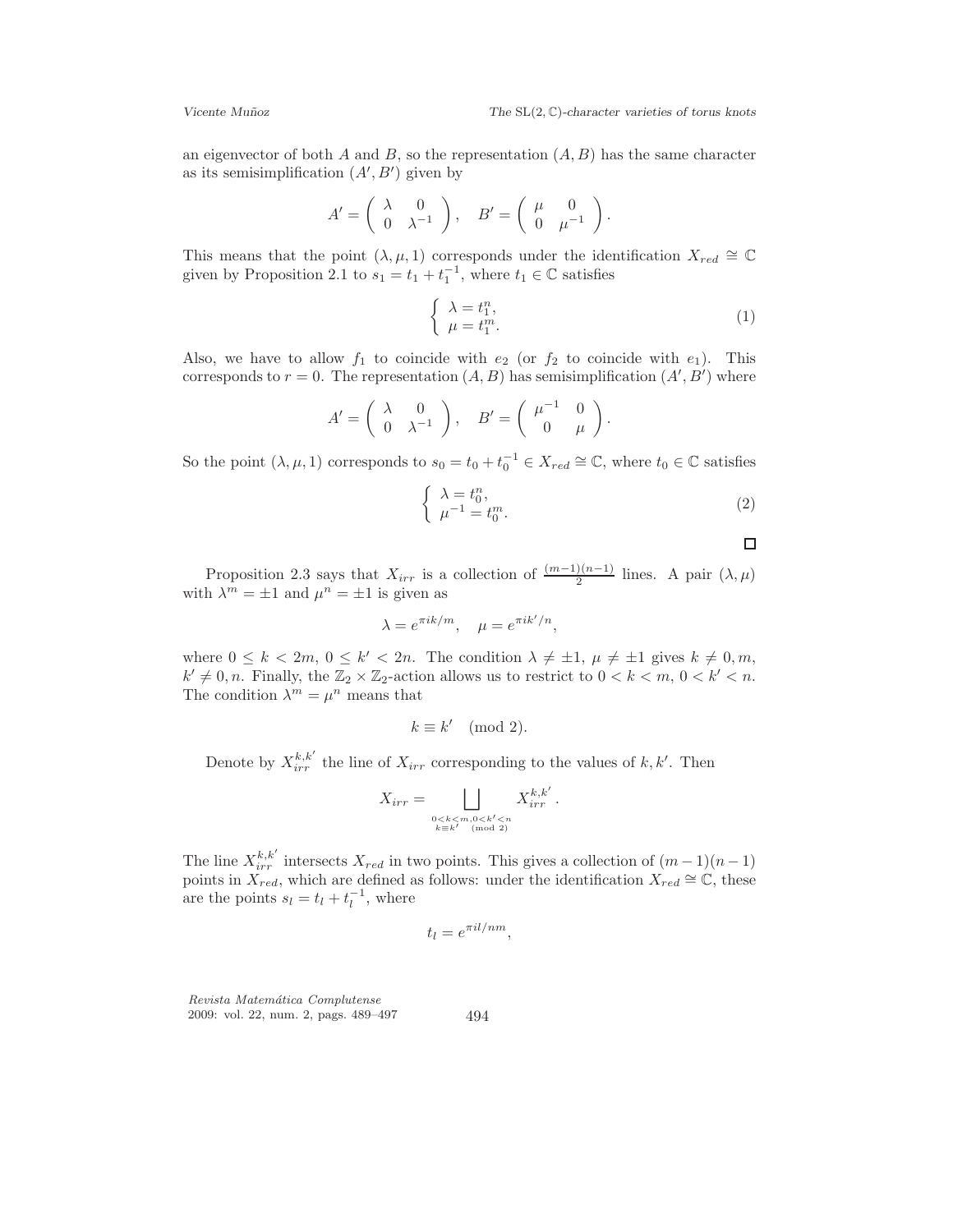an eigenvector of both A and B, so the representation  $(A, B)$  has the same character as its semisimplification  $(A', B')$  given by

$$
A' = \begin{pmatrix} \lambda & 0 \\ 0 & \lambda^{-1} \end{pmatrix}, \quad B' = \begin{pmatrix} \mu & 0 \\ 0 & \mu^{-1} \end{pmatrix}.
$$

This means that the point  $(\lambda, \mu, 1)$  corresponds under the identification  $X_{red} \cong \mathbb{C}$ given by Proposition 2.1 to  $s_1 = t_1 + t_1^{-1}$ , where  $t_1 \in \mathbb{C}$  satisfies

$$
\begin{cases} \lambda = t_1^n, \\ \mu = t_1^m. \end{cases} \tag{1}
$$

Also, we have to allow  $f_1$  to coincide with  $e_2$  (or  $f_2$  to coincide with  $e_1$ ). This corresponds to  $r = 0$ . The representation  $(A, B)$  has semisimplification  $(A', B')$  where

$$
A' = \begin{pmatrix} \lambda & 0 \\ 0 & \lambda^{-1} \end{pmatrix}, \quad B' = \begin{pmatrix} \mu^{-1} & 0 \\ 0 & \mu \end{pmatrix}.
$$

So the point  $(\lambda, \mu, 1)$  corresponds to  $s_0 = t_0 + t_0^{-1} \in X_{red} \cong \mathbb{C}$ , where  $t_0 \in \mathbb{C}$  satisfies

$$
\begin{cases}\n\lambda = t_0^n, \\
\mu^{-1} = t_0^m.\n\end{cases}
$$
\n(2)

 $\Box$ 

Proposition 2.3 says that  $X_{irr}$  is a collection of  $\frac{(m-1)(n-1)}{2}$  lines. A pair  $(\lambda, \mu)$ with  $\lambda^m = \pm 1$  and  $\mu^n = \pm 1$  is given as

$$
\lambda = e^{\pi i k/m}, \quad \mu = e^{\pi i k'/n},
$$

where  $0 \leq k < 2m, 0 \leq k' < 2n$ . The condition  $\lambda \neq \pm 1, \mu \neq \pm 1$  gives  $k \neq 0, m$ ,  $k' \neq 0, n$ . Finally, the  $\mathbb{Z}_2 \times \mathbb{Z}_2$ -action allows us to restrict to  $0 < k < m$ ,  $0 < k' < n$ . The condition  $\lambda^m = \mu^n$  means that

$$
k \equiv k' \pmod{2}.
$$

Denote by  $X_{irr}^{k,k'}$  the line of  $X_{irr}$  corresponding to the values of  $k, k'$ . Then

$$
X_{irr} = \bigsqcup_{\substack{0 < k < m, 0 < k' < n \\ k \equiv k' \pmod{2}}} X_{irr}^{k,k'}.
$$

The line  $X_{irr}^{k,k'}$  intersects  $X_{red}$  in two points. This gives a collection of  $(m-1)(n-1)$ points in  $\overline{X}_{red}$ , which are defined as follows: under the identification  $\overline{X}_{red} \cong \mathbb{C}$ , these are the points  $s_l = t_l + t_l^{-1}$ , where

$$
t_l = e^{\pi i l / nm},
$$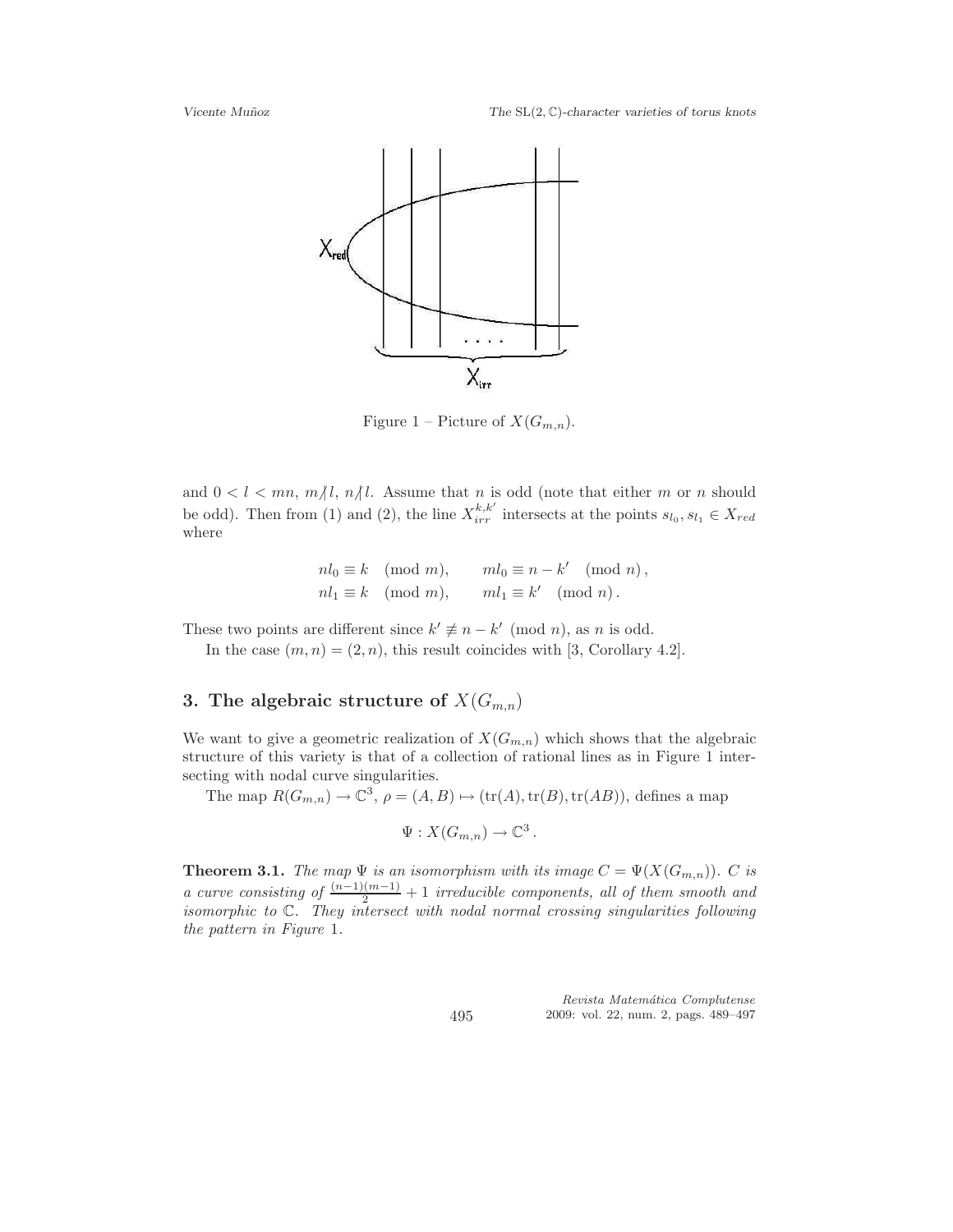

Figure 1 – Picture of  $X(G_{m,n})$ .

and  $0 < l < mn$ ,  $m/l$ ,  $n/l$ . Assume that n is odd (note that either m or n should be odd). Then from (1) and (2), the line  $X_{irr}^{k,k'}$  intersects at the points  $s_{l_0}, s_{l_1} \in X_{red}$ where

$$
nl_0 \equiv k \pmod{m}, \qquad ml_0 \equiv n - k' \pmod{n},
$$
  

$$
nl_1 \equiv k \pmod{m}, \qquad ml_1 \equiv k' \pmod{n}.
$$

These two points are different since  $k' \not\equiv n - k' \pmod{n}$ , as n is odd.

In the case  $(m, n) = (2, n)$ , this result coincides with [3, Corollary 4.2].

# 3. The algebraic structure of  $X(G_{m,n})$

We want to give a geometric realization of  $X(G_{m,n})$  which shows that the algebraic structure of this variety is that of a collection of rational lines as in Figure 1 intersecting with nodal curve singularities.

The map  $R(G_{m,n}) \to \mathbb{C}^3$ ,  $\rho = (A, B) \mapsto (\text{tr}(A), \text{tr}(B), \text{tr}(AB))$ , defines a map

$$
\Psi: X(G_{m,n}) \to \mathbb{C}^3.
$$

**Theorem 3.1.** The map  $\Psi$  is an isomorphism with its image  $C = \Psi(X(G_{m,n}))$ . C is a curve consisting of  $\frac{(n-1)(m-1)}{2}+1$  irreducible components, all of them smooth and isomorphic to C. They intersect with nodal normal crossing singularities following the pattern in Figure 1.

> Revista Matemática Complutense 2009: vol. 22, num. 2, pags. 489–497

495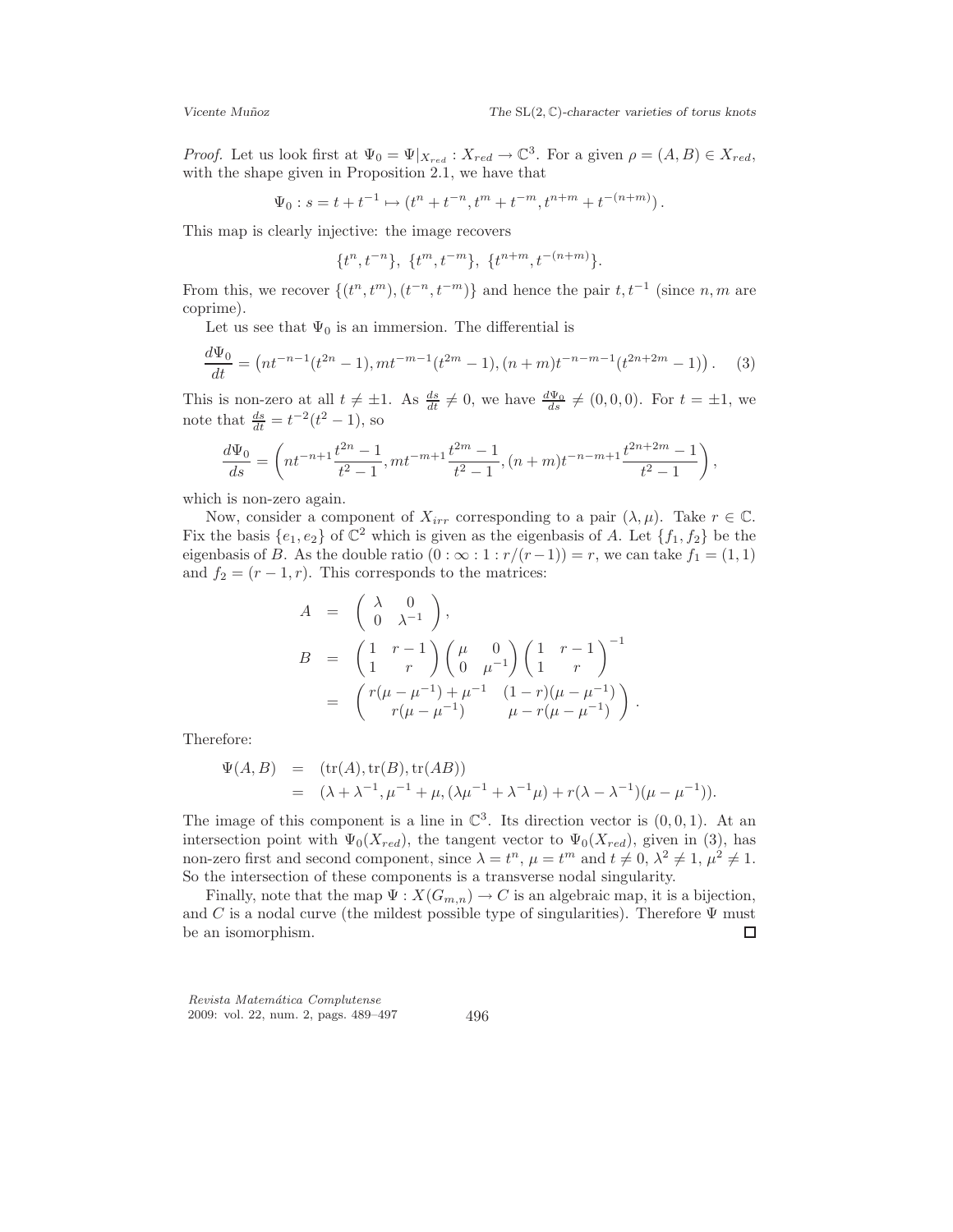*Proof.* Let us look first at  $\Psi_0 = \Psi|_{X_{red}} : X_{red} \to \mathbb{C}^3$ . For a given  $\rho = (A, B) \in X_{red}$ , with the shape given in Proposition 2.1, we have that

$$
\Psi_0: s = t + t^{-1} \mapsto (t^n + t^{-n}, t^m + t^{-m}, t^{n+m} + t^{-(n+m)}).
$$

This map is clearly injective: the image recovers

$$
\{t^n, t^{-n}\},\ \{t^m, t^{-m}\},\ \{t^{n+m}, t^{-(n+m)}\}.
$$

From this, we recover  $\{(t^n, t^m), (t^{-n}, t^{-m})\}$  and hence the pair  $t, t^{-1}$  (since  $n, m$  are coprime).

Let us see that  $\Psi_0$  is an immersion. The differential is

$$
\frac{d\Psi_0}{dt} = \left(nt^{-n-1}(t^{2n} - 1), mt^{-m-1}(t^{2m} - 1), (n + m)t^{-n-m-1}(t^{2n+2m} - 1)\right). \tag{3}
$$

This is non-zero at all  $t \neq \pm 1$ . As  $\frac{ds}{dt} \neq 0$ , we have  $\frac{d\Psi_0}{ds} \neq (0, 0, 0)$ . For  $t = \pm 1$ , we note that  $\frac{ds}{dt} = t^{-2}(t^2 - 1)$ , so

$$
\frac{d\Psi_0}{ds} = \left(nt^{-n+1}\frac{t^{2n}-1}{t^2-1}, mt^{-m+1}\frac{t^{2m}-1}{t^2-1}, (n+m)t^{-n-m+1}\frac{t^{2n+2m}-1}{t^2-1}\right),\,
$$

which is non-zero again.

Now, consider a component of  $X_{irr}$  corresponding to a pair  $(\lambda, \mu)$ . Take  $r \in \mathbb{C}$ . Fix the basis  $\{e_1, e_2\}$  of  $\mathbb{C}^2$  which is given as the eigenbasis of A. Let  $\{f_1, f_2\}$  be the eigenbasis of B. As the double ratio  $(0 : \infty : 1 : r/(r-1)) = r$ , we can take  $f_1 = (1, 1)$ and  $f_2 = (r-1, r)$ . This corresponds to the matrices:

$$
A = \begin{pmatrix} \lambda & 0 \\ 0 & \lambda^{-1} \end{pmatrix},
$$
  
\n
$$
B = \begin{pmatrix} 1 & r-1 \\ 1 & r \end{pmatrix} \begin{pmatrix} \mu & 0 \\ 0 & \mu^{-1} \end{pmatrix} \begin{pmatrix} 1 & r-1 \\ 1 & r \end{pmatrix}^{-1}
$$
  
\n
$$
= \begin{pmatrix} r(\mu - \mu^{-1}) + \mu^{-1} & (1 - r)(\mu - \mu^{-1}) \\ r(\mu - \mu^{-1}) & \mu - r(\mu - \mu^{-1}) \end{pmatrix}.
$$

Therefore:

$$
\Psi(A, B) = (\text{tr}(A), \text{tr}(B), \text{tr}(AB))
$$
  
=  $(\lambda + \lambda^{-1}, \mu^{-1} + \mu, (\lambda \mu^{-1} + \lambda^{-1} \mu) + r(\lambda - \lambda^{-1})(\mu - \mu^{-1})).$ 

The image of this component is a line in  $\mathbb{C}^3$ . Its direction vector is  $(0,0,1)$ . At an intersection point with  $\Psi_0(X_{red})$ , the tangent vector to  $\Psi_0(X_{red})$ , given in (3), has non-zero first and second component, since  $\lambda = t^n$ ,  $\mu = t^m$  and  $t \neq 0$ ,  $\lambda^2 \neq 1$ ,  $\mu^2 \neq 1$ . So the intersection of these components is a transverse nodal singularity.

Finally, note that the map  $\Psi : X(G_{m,n}) \to C$  is an algebraic map, it is a bijection, and C is a nodal curve (the mildest possible type of singularities). Therefore  $\Psi$  must be an isomorphism.  $\Box$